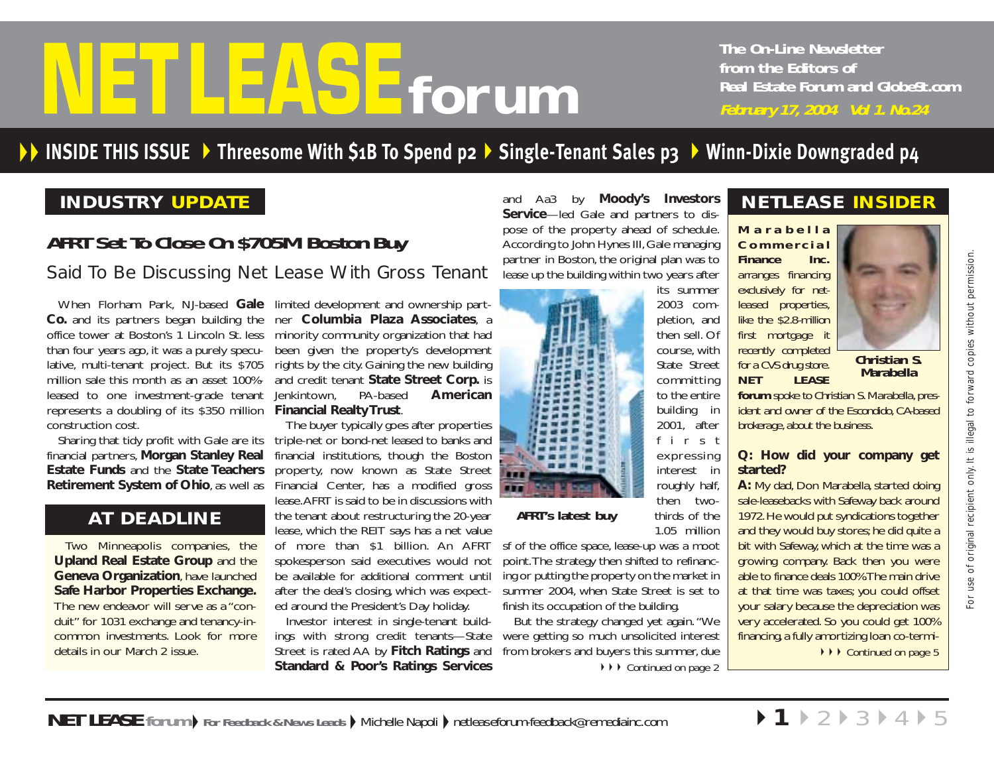# <span id="page-0-0"></span>**from the Editors of**<br>**Forum** and GlobeSt.<br>Forum and GlobeSt.<br>February 17, 2004 Vol 1. No.24

**The On-Line Newsletter from the Editors of Real Estate Forum and GlobeSt.com**

# **INSIDE THIS ISSUE [Threesome With \\$1B To Spend p2](#page-1-0) [Single-Tenant Sales p3](#page-2-0)  [Winn-Dixie Downgraded p4](#page-3-0)**

# **INDUSTRY UPDATE**

# **AFRT Set To Close On \$705M Boston Buy**

**Co.** and its partners began building the office tower at Boston's 1 Lincoln St. less than four years ago, it was a purely speculative, multi-tenant project. But its \$705 million sale this month as an asset 100% leased to one investment-grade tenant represents a doubling of its \$350 million **Financial Realty Trust**. construction cost.

financial partners, **Morgan Stanley Real Estate Funds** and the **State Teachers Retirement System of Ohio**, as well as Financial Center, has a modified gross

# **AT DEADLINE**

duit" for 1031 exchange and tenancy-incommon investments. Look for more details in our March 2 issue.

When Florham Park, NJ-based **Gale** limited development and ownership partner **Columbia Plaza Associates**, <sup>a</sup> minority community organization that had been given the property's development rights by the city. Gaining the new building and credit tenant **State Street Corp.** is Jenkintown, PA-based **American**

Sharing that tidy profit with Gale are its  $\;$  triple-net or bond-net leased to banks and The buyer typically goes after properties financial institutions, though the Boston property, now known as State Street lease.AFRT is said to be in discussions with the tenant about restructuring the 20-year lease, which the REIT says has a net value of more than \$1 billion. An AFRT spokesperson said executives would not be available for additional comment until after the deal's closing, which was expected around the President's Day holiday. Said To Be Discussing Net Lease With Gross Tenant task up the biston, when Finder and New Sole and Said To Be Discussing Net Lease With Gross Tenant task up the internal and the space in the state of the space of the spac

> Investor interest in single-tenant buildings with strong credit tenants—State Street is rated AA by **Fitch Ratings** and **Standard & Poor's Ratings Services**

and Aa3 by **Moody's Investors Service**—led Gale and partners to dispose of the property ahead of schedule. According to John Hynes III, Gale managing partner in Boston, the original plan was to lease up the building within two years after

> its summer 2003 completion, and then sell. Of course, with State Street committing to the entire building in 2001, after first expressing interest in roughly half, then twothirds of the 1.05 million



sf of the office space, lease-up was a moot point.The strategy then shifted to refinancing or putting the property on the market in summer 2004, when State Street is set to finish its occupation of the building.

But the strategy changed yet again. "We were getting so much unsolicited interest from brokers and buyers this summer, due ◆ ▶ [Continued on page 2](#page-1-0)

# **NETLEASE INSIDER**

*Marabella Commercial Finance Inc. arranges financing exclusively for netleased properties, like the \$2.8-million first mortgage it recently completed for a CVS drug store. NET LEASE*



**Christian S. Marabella**

*forum spoke to Christian S. Marabella, president and owner of the Escondido, CA-based brokerage, about the business.*

#### **Q: How did your company get started?**

**A:** My dad, Don Marabella, started doing sale-leasebacks with Safeway back around 1972.He would put syndications together and they would buy stores; he did quite a bit with Safeway, which at the time was a growing company. Back then you were able to finance deals 100%.The main drive at that time was taxes; you could offset your salary because the depreciation was very accelerated. So you could get 100% financing, a fully amortizing loan co-termi-**▶▶▶ [Continued on page 5](#page-4-0)**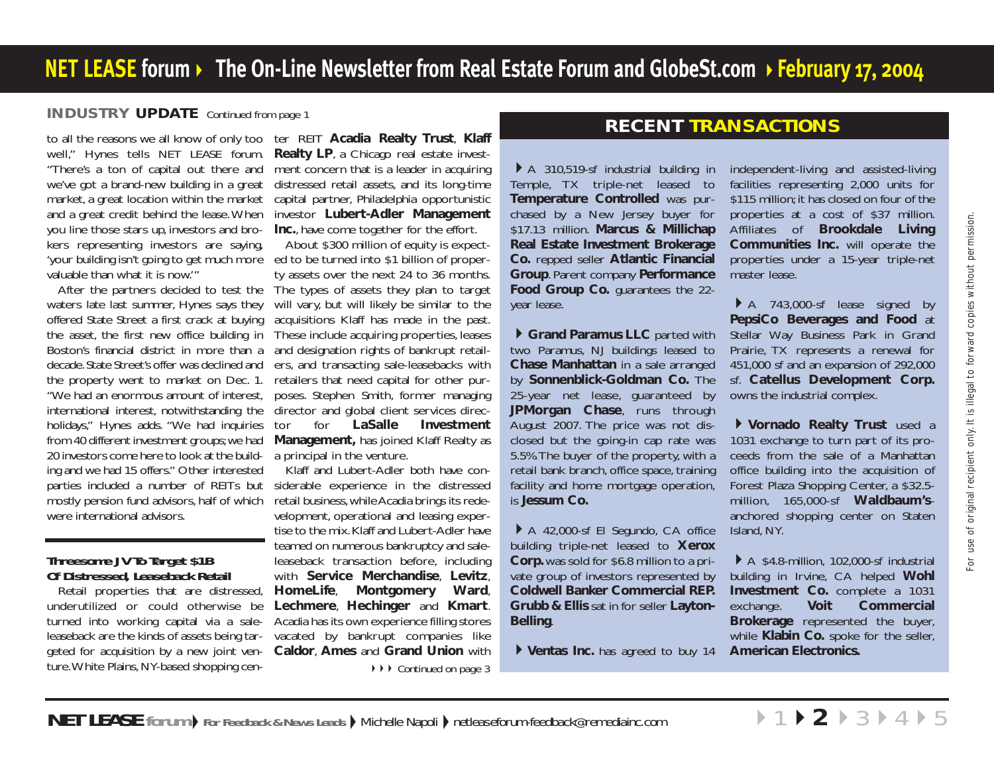### <span id="page-1-0"></span>**INDUSTRY UPDATE** [Continued from page 1](#page-0-0)

to all the reasons we all know of only too ter REIT **Acadia Realty Trust**, **Klaff** well," Hynes tells *NET LEASE forum.* "There's a ton of capital out there and we've got a brand-new building in a great market, a great location within the market and a great credit behind the lease.When you line those stars up, investors and brokers representing investors are saying, 'your building isn't going to get much more ed to be turned into \$1 billion of proper valuable than what it is now.'"

After the partners decided to test the waters late last summer, Hynes says they offered State Street a first crack at buying the asset, the first new office building in Boston's financial district in more than a decade.State Street's offer was declined and the property went to market on Dec. 1. "We had an enormous amount of interest, international interest, notwithstanding the holidays," Hynes adds. "We had inquiries from 40 different investment groups;we had 20 investors come here to look at the building and we had 15 offers." Other interested parties included a number of REITs but mostly pension fund advisors, half of which were international advisors.

#### **Threesome JV To Target \$1B Of Distressed, Leaseback Retail**

Retail properties that are distressed, underutilized or could otherwise be turned into working capital via a saleleaseback are the kinds of assets being targeted for acquisition by a new joint venture.White Plains, NY-based shopping cen-

**Realty LP**, <sup>a</sup> Chicago real estate invest ment concern that is a leader in acquiring distressed retail assets, and its long-time capital partner, Philadelphia opportunistic investor **Lubert-Adler Management Inc.**, have come together for the effort.

About \$300 million of equity is expect ty assets over the next 24 to 36 months. The types of assets they plan to target will vary, but will likely be similar to the acquisitions Klaff has made in the past. These include acquiring properties, leases and designation rights of bankrupt retail ers, and transacting sale-leasebacks with retailers that need capital for other purposes. Stephen Smith, former managing director and global client services director for **LaSalle Investment Management,** has joined Klaff Realty as a principal in the venture.

Klaff and Lubert-Adler both have considerable experience in the distressed retail business, while Acadia brings its redevelopment, operational and leasing expertise to the mix.Klaff and Lubert-Adler have teamed on numerous bankruptcy and saleleaseback transaction before, including with **Service Merchandise**, **Levitz**, **HomeLife**, **Montgomery Ward**, **Lechmere**, **Hechinger** and **Kmart**. Acadia has its own experience filling stores vacated by bankrupt companies like **Caldor**, **Ames** and **Grand Union** with **▶▶▶ [Continued on page 3](#page-2-0)** 

# **RECENT TRANSACTIONS**

A 310,519-sf industrial building in Temple, TX triple-net leased to **Temperature Controlled** was purchased by a New Jersey buyer for \$17.13 million. **Marcus & Millichap Real Estate Investment Brokerage Co.** repped seller **Atlantic Financial Group**. Parent company **Performance Food Group Co.** guarantees the 22 year lease.

**Grand Paramus LLC** parted with two Paramus, NJ buildings leased to **Chase Manhattan** in a sale arranged by **Sonnenblick-Goldman Co.** The 25-year net lease, guaranteed by **JPMorgan Chase**, runs through August 2007. The price was not disclosed but the going-in cap rate was 5.5%.The buyer of the property, with a retail bank branch, office space, training facility and home mortgage operation, is **Jessum Co.**

A 42,000-sf El Segundo, CA office building triple-net leased to **Xerox Corp.** was sold for \$6.8 million to a private group of investors represented by **Coldwell Banker Commercial REP. Grubb & Ellis** sat in for seller **Layton-Belling**.

**Ventas Inc.** has agreed to buy 14

independent-living and assisted-living facilities representing 2,000 units for \$115 million; it has closed on four of the properties at a cost of \$37 million. Affiliates of **Brookdale Living Communities Inc.** will operate the properties under a 15-year triple-net master lease.

A 743,000-sf lease signed by **PepsiCo Beverages and Food at** Stellar Way Business Park in Grand Prairie, TX represents a renewal for 451,000 sf and an expansion of 292,000 sf. **Catellus Development Corp.** owns the industrial complex.

**Vornado Realty Trust** used a 1031 exchange to turn part of its proceeds from the sale of a Manhattan office building into the acquisition of Forest Plaza Shopping Center, a \$32.5 million, 165,000-sf **Waldbaum's**anchored shopping center on Staten Island, NY.

A \$4.8-million, 102,000-sf industrial building in Irvine, CA helped **Wohl Investment Co.** complete a 1031 exchange. **Voit Commercial Brokerage** represented the buyer, while **Klabin Co.** spoke for the seller, **American Electronics.**

 $\triangleright$  [1](#page-0-0)  $\triangleright$  2  $\triangleright$  [3](#page-2-0)  $\triangleright$  [4](#page-3-0)  $\triangleright$  [5](#page-4-0)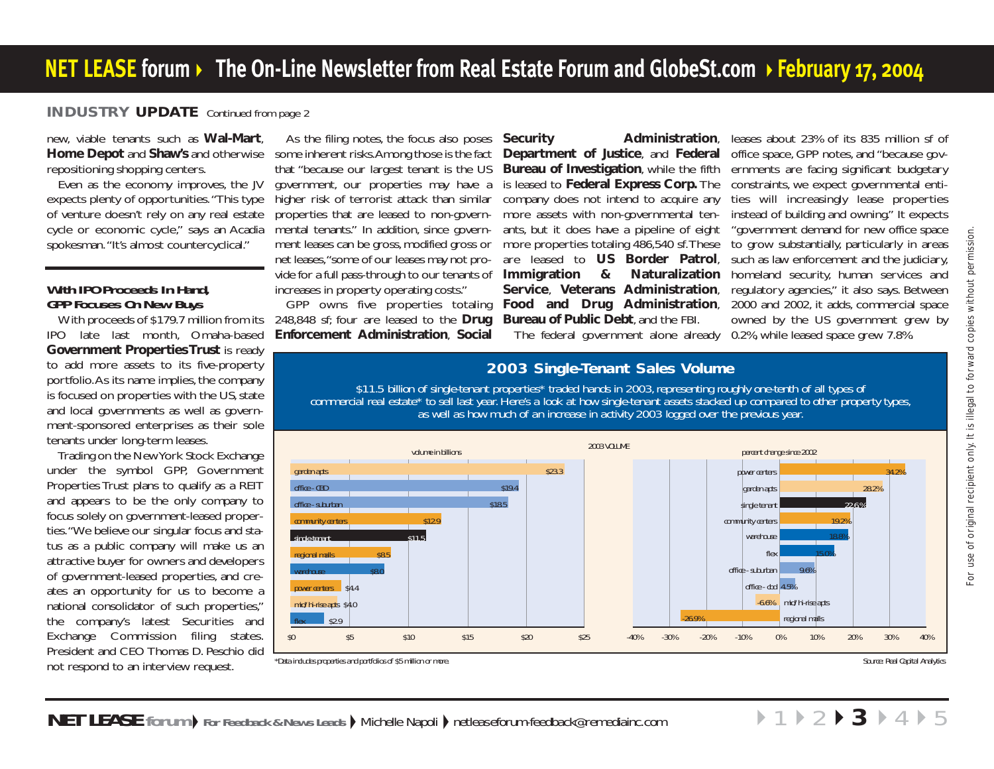## <span id="page-2-0"></span>**INDUSTRY UPDATE** [Continued from page 2](#page-1-0)

new, viable tenants such as **Wal-Mart**, **Home Depot** and **Shaw's** and otherwise repositioning shopping centers.

Even as the economy improves, the JV expects plenty of opportunities."This type of venture doesn't rely on any real estate cycle or economic cycle," says an Acadia spokesman."It's almost countercyclical."

#### **With IPO Proceeds In Hand, GPP Focuses On New Buys**

With proceeds of \$179.7 million from its IPO late last month, Omaha-based **Government Properties Trust** is ready to add more assets to its five-property portfolio.As its name implies, the company is focused on properties with the US, state and local governments as well as government-sponsored enterprises as their sole tenants under long-term leases.

Trading on the New York Stock Exchange under the symbol GPP, Government Properties Trust plans to qualify as a REIT and appears to be the only company to focus solely on government-leased properties."We believe our singular focus and status as a public company will make us an attractive buyer for owners and developers of government-leased properties, and creates an opportunity for us to become a national consolidator of such properties," the company's latest Securities and Exchange Commission filing states. President and CEO Thomas D. Peschio did not respond to an interview request.

As the filing notes, the focus also poses some inherent risks.Among those is the fact that "because our largest tenant is the US government, our properties may have a higher risk of terrorist attack than similar properties that are leased to non-governmental tenants." In addition, since government leases can be gross, modified gross or net leases,"some of our leases may not provide for a full pass-through to our tenants of increases in property operating costs."

GPP owns five properties totaling 248,848 sf; four are leased to the **Drug Enforcement Administration**, **Social**

**Security Administration**, **Department of Justice**, and **Federal Bureau of Investigation**, while the fifth is leased to **Federal Express Corp.** The company does not intend to acquire any more assets with non-governmental tenants, but it does have a pipeline of eight more properties totaling 486,540 sf.These are leased to **US Border Patrol**, **Immigration & Naturalization Service**, **Veterans Administration**, **Food and Drug Administration**, **Bureau of Public Debt**, and the FBI.

The federal government alone already 0.2%, while leased space grew 7.8%.

leases about 23% of its 835 million sf of office space, GPP notes, and "because governments are facing significant budgetary constraints, we expect governmental entities will increasingly lease properties instead of building and owning." It expects "government demand for new office space to grow substantially, particularly in areas such as law enforcement and the judiciary, homeland security, human services and regulatory agencies," it also says. Between 2000 and 2002, it adds, commercial space owned by the US government grew by

# **2003 Single-Tenant Sales Volume**

*\$11.5 billion of single-tenant properties\* traded hands in 2003, representing roughly one-tenth of all types of commercial real estate\* to sell last year. Here's a look at how single-tenant assets stacked up compared to other property types, as well as how much of an increase in activity 2003 logged over the previous year.*

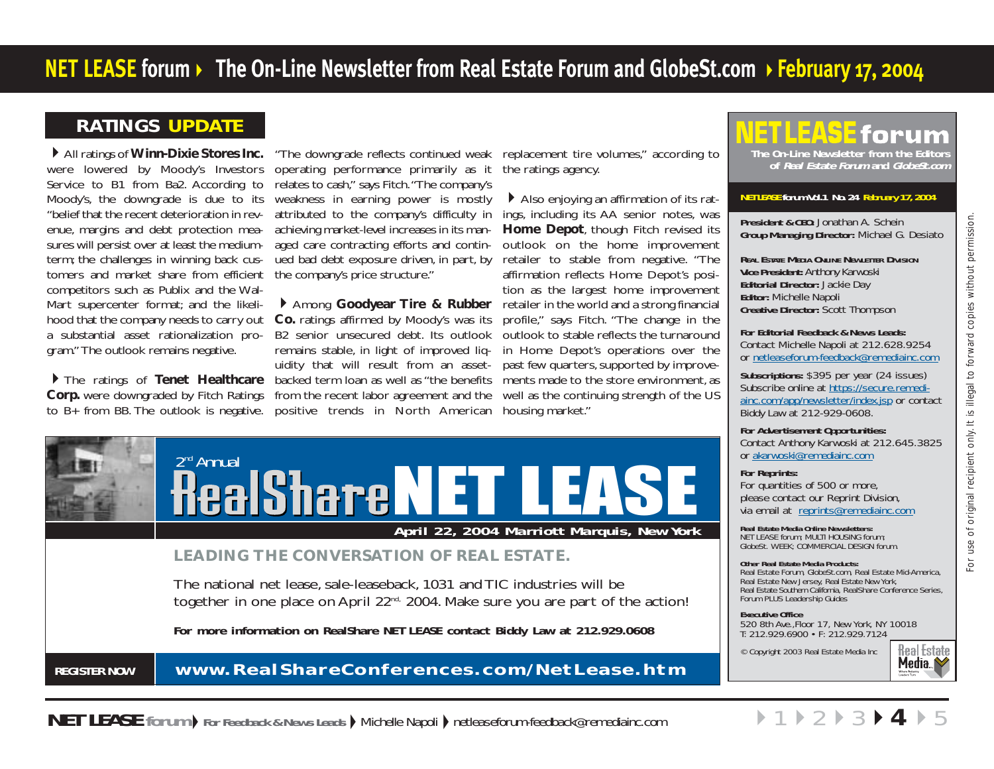# <span id="page-3-0"></span>**RATINGS UPDATE**

All ratings of **Winn-Dixie Stores Inc.** were lowered by Moody's Investors Service to B1 from Ba2. According to Moody's, the downgrade is due to its "belief that the recent deterioration in revenue, margins and debt protection measures will persist over at least the mediumterm; the challenges in winning back customers and market share from efficient competitors such as Publix and the Wal-Mart supercenter format; and the likelihood that the company needs to carry out a substantial asset rationalization program." The outlook remains negative.

The ratings of **Tenet Healthcare Corp.** were downgraded by Fitch Ratings to B+ from BB. The outlook is negative. positive trends in North American housing market."

operating performance primarily as it relates to cash," says Fitch."The company's weakness in earning power is mostly attributed to the company's difficulty in achieving market-level increases in its managed care contracting efforts and continued bad debt exposure driven, in part, by the company's price structure."

**Co.** ratings affirmed by Moody's was its B2 senior unsecured debt. Its outlook remains stable, in light of improved liquidity that will result from an assetbacked term loan as well as "the benefits ments made to the store environment, as from the recent labor agreement and the

"The downgrade reflects continued weak replacement tire volumes," according to the ratings agency.

Among **Goodyear Tire & Rubber** retailer in the world and a strong financial Also enjoying an affirmation of its ratings, including its AA senior notes, was **Home Depot**, though Fitch revised its outlook on the home improvement retailer to stable from negative. "The affirmation reflects Home Depot's position as the largest home improvement profile," says Fitch. "The change in the outlook to stable reflects the turnaround in Home Depot's operations over the past few quarters, supported by improvewell as the continuing strength of the US



# **REGISTER NOW www.RealShareConferences.com/NetLease.htm**

# 1 I S **The On-Line Newsletter from the Editors of Real Estate Forum and GlobeSt.com**

#### **NETLEASE forum Vol.1 No. 24 February 17, 2004**

**President & CEO:** Jonathan A. Schein **Group Managing Director:** Michael G. Desiato

**REAL ESTATE MEDIA ONLINE NEWLETTER DIVISION Vice President:** Anthony Karwoski **Editorial Director:** Jackie Day **Editor:** Michelle Napoli **Creative Director:** Scott Thompson

**For Editorial Feedback & News Leads:**  Contact Michelle Napoli at 212.628.9254 o[r netleaseforum-feedback@remediainc.com](mailto:netleaseforum-feedback@remediainc.com)

**Subscriptions:** \$395 per year (24 issues) [Subscribe online at https://secure.remedi](http://www.reforum.com/netleaseforumnewsletter/NLFsubscriptionform.htm)ainc.com/app/newsletter/index.jsp or contact Biddy Law at 212-929-0608.

**For Advertisement Opportunities:**

Contact Anthony Karwoski at 212.645.3825 o[r akarwoski@remediainc.com](mailto:akarwoski@remediainc.com)

#### **For Reprints:**

 $\rightarrow$ [1](#page-0-0)

For quantities of 500 or more, please contact our Reprint Division, via email at [reprints@remediainc.com](mailto:reprints@remediainc.com)

**Real Estate Media Online Newsletters:** NET LEASE forum; MULTI HOUSING forum; GlobeSt. WEEK; COMMERCIAL DESIGN forum.

#### **Other Real Estate Media Products:**

Real Estate Forum, GlobeSt.com, Real Estate Mid-America, Real Estate New Jersey, Real Estate New York, Real Estate Southern California, RealShare Conference Series, Forum PLUS Leadership Guides

**Executive Office**

520 8th Ave.,Floor 17, New York, NY 10018 T: 212.929.6900 • F: 212.929.7124

© Copyright 2003 Real Estate Media Inc



For use of original recipient only. It is illegal to forward copies without permission.

use JO-

of original recipient only. It is illegal to forward copies without permission.